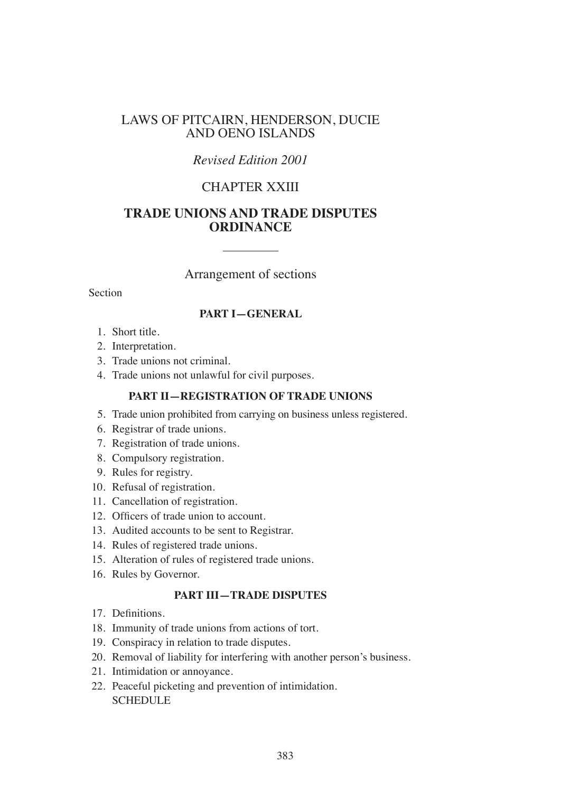### LAWS OF PITCAIRN, HENDERSON, DUCIE AND OENO ISLANDS

## *Revised Edition 2001*

# CHAPTER XXIII

## **TRADE UNIONS AND TRADE DISPUTES ORDINANCE**

### Arrangement of sections

Section

#### **PART I—GENERAL**

- 1. Short title.
- 2. Interpretation.
- 3. Trade unions not criminal.
- 4. Trade unions not unlawful for civil purposes.

#### **PART II—REGISTRATION OF TRADE UNIONS**

- 5. Trade union prohibited from carrying on business unless registered.
- 6. Registrar of trade unions.
- 7. Registration of trade unions.
- 8. Compulsory registration.
- 9. Rules for registry.
- 10. Refusal of registration.
- 11. Cancellation of registration.
- 12. Oficers of trade union to account.
- 13. Audited accounts to be sent to Registrar.
- 14. Rules of registered trade unions.
- 15. Alteration of rules of registered trade unions.
- 16. Rules by Governor.

### **PART III—TRADE DISPUTES**

- 17. Definitions.
- 18. Immunity of trade unions from actions of tort.
- 19. Conspiracy in relation to trade disputes.
- 20. Removal of liability for interfering with another person's business.
- 21. Intimidation or annoyance.
- 22. Peaceful picketing and prevention of intimidation. SCHEDULE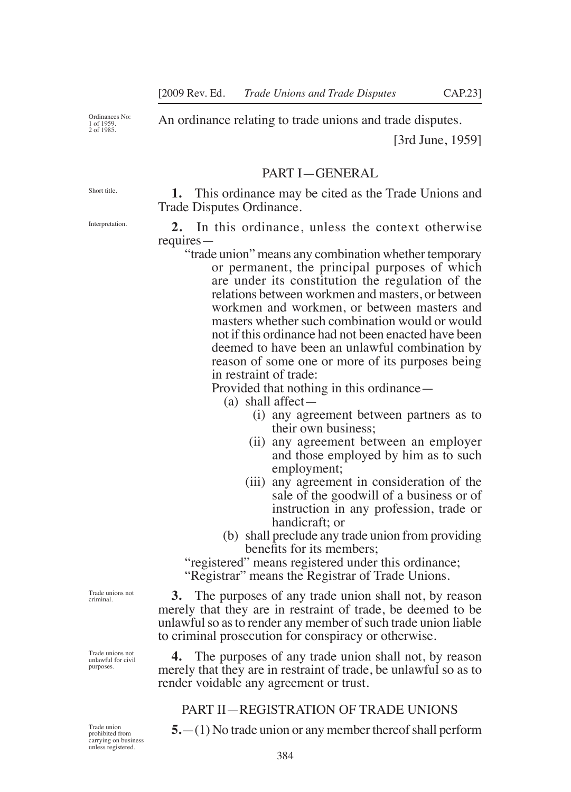Ordinances No: 1 of 1959. 2 of 1985.

An ordinance relating to trade unions and trade disputes.

[3rd June, 1959]

### PART I—GENERAL

Short title.

Interpretation.

**1.** This ordinance may be cited as the Trade Unions and Trade Disputes Ordinance.

**2.** In this ordinance, unless the context otherwise requires—

"trade union" means any combination whether temporary or permanent, the principal purposes of which are under its constitution the regulation of the relations between workmen and masters, or between workmen and workmen, or between masters and masters whether such combination would or would not if this ordinance had not been enacted have been deemed to have been an unlawful combination by reason of some one or more of its purposes being in restraint of trade:

Provided that nothing in this ordinance—

(a) shall affect—

- (i) any agreement between partners as to their own business;
- (ii) any agreement between an employer and those employed by him as to such employment;
- (iii) any agreement in consideration of the sale of the goodwill of a business or of instruction in any profession, trade or handicraft; or
- (b) shall preclude any trade union from providing benefits for its members:

"registered" means registered under this ordinance;

"Registrar" means the Registrar of Trade Unions.

**3.** The purposes of any trade union shall not, by reason merely that they are in restraint of trade, be deemed to be unlawful so as to render any member of such trade union liable to criminal prosecution for conspiracy or otherwise.

**4.** The purposes of any trade union shall not, by reason merely that they are in restraint of trade, be unlawful so as to render voidable any agreement or trust.

#### PART II—REGISTRATION OF TRADE UNIONS

**5.**—(1) No trade union or any member thereof shall perform

Trade unions not criminal.

Trade unions not unlawful for civil purposes.

Trade union prohibited from carrying on business unless registered.

384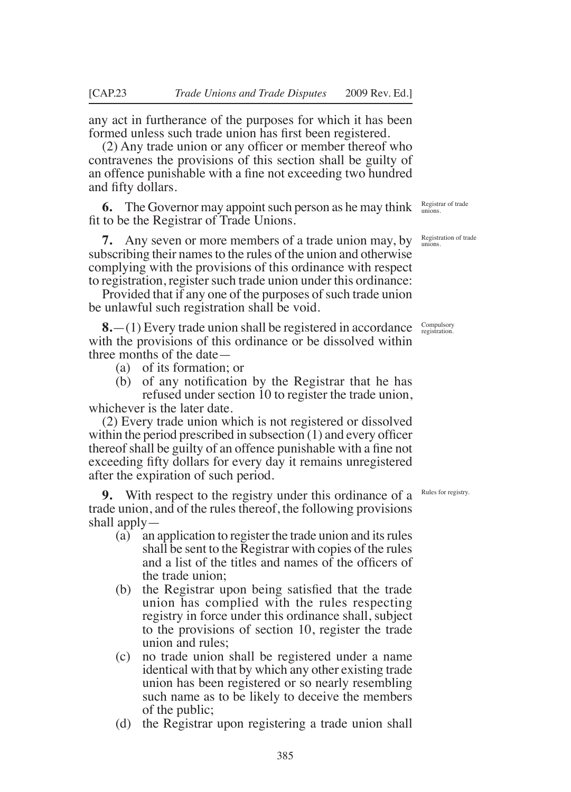any act in furtherance of the purposes for which it has been formed unless such trade union has first been registered.

(2) Any trade union or any oficer or member thereof who contravenes the provisions of this section shall be guilty of an offence punishable with a fine not exceeding two hundred and fifty dollars.

**6.** The Governor may appoint such person as he may think fit to be the Registrar of Trade Unions.

**7.** Any seven or more members of a trade union may, by subscribing their names to the rules of the union and otherwise complying with the provisions of this ordinance with respect to registration, register such trade union under this ordinance:

Provided that if any one of the purposes of such trade union be unlawful such registration shall be void.

**8.**—(1) Every trade union shall be registered in accordance with the provisions of this ordinance or be dissolved within three months of the date—

- (a) of its formation; or
- (b) of any notification by the Registrar that he has refused under section 10 to register the trade union, whichever is the later date.

(2) Every trade union which is not registered or dissolved within the period prescribed in subsection (1) and every officer thereof shall be guilty of an offence punishable with a fine not exceeding fifty dollars for every day it remains unregistered after the expiration of such period.

**9.** With respect to the registry under this ordinance of a trade union, and of the rules thereof, the following provisions shall apply—

- (a) an application to register the trade union and its rules shall be sent to the Registrar with copies of the rules and a list of the titles and names of the oficers of the trade union;
- (b) the Registrar upon being satisfied that the trade union has complied with the rules respecting registry in force under this ordinance shall, subject to the provisions of section 10, register the trade union and rules;
- (c) no trade union shall be registered under a name identical with that by which any other existing trade union has been registered or so nearly resembling such name as to be likely to deceive the members of the public;
- (d) the Registrar upon registering a trade union shall

Registrar of trade unions.

Registration of trade unions.

Compulsory registration.

Rules for registry.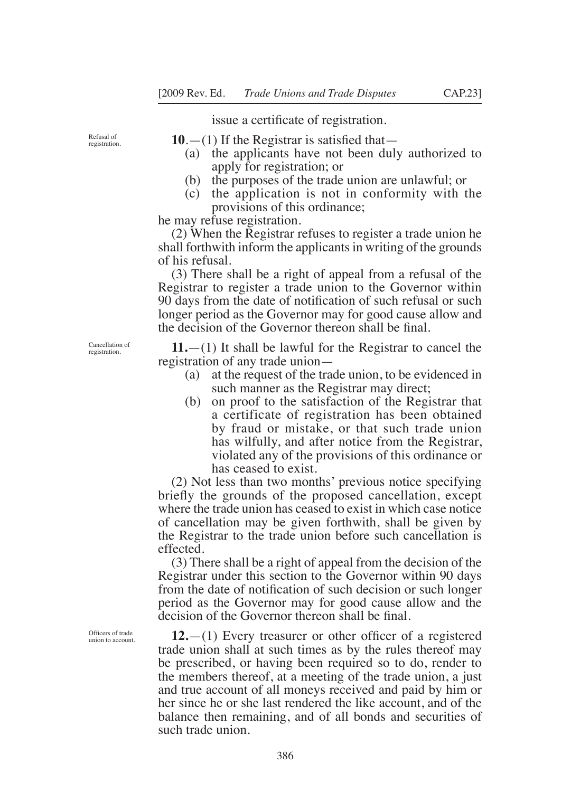issue a certificate of registration.

Refusal of registration.  $10.$ —(1) If the Registrar is satisfied that—

- (a) the applicants have not been duly authorized to apply for registration; or
- (b) the purposes of the trade union are unlawful; or
- (c) the application is not in conformity with the provisions of this ordinance;

he may refuse registration.

(2) When the Registrar refuses to register a trade union he shall forthwith inform the applicants in writing of the grounds of his refusal.

(3) There shall be a right of appeal from a refusal of the Registrar to register a trade union to the Governor within 90 days from the date of notiication of such refusal or such longer period as the Governor may for good cause allow and the decision of the Governor thereon shall be final.

**11.**—(1) It shall be lawful for the Registrar to cancel the registration of any trade union—

- (a) at the request of the trade union, to be evidenced in such manner as the Registrar may direct;
- (b) on proof to the satisfaction of the Registrar that a certificate of registration has been obtained by fraud or mistake, or that such trade union has wilfully, and after notice from the Registrar, violated any of the provisions of this ordinance or has ceased to exist.

(2) Not less than two months' previous notice specifying briefly the grounds of the proposed cancellation, except where the trade union has ceased to exist in which case notice of cancellation may be given forthwith, shall be given by the Registrar to the trade union before such cancellation is effected.

(3) There shall be a right of appeal from the decision of the Registrar under this section to the Governor within 90 days from the date of notification of such decision or such longer period as the Governor may for good cause allow and the decision of the Governor thereon shall be final.

**12.**—(1) Every treasurer or other oficer of a registered trade union shall at such times as by the rules thereof may be prescribed, or having been required so to do, render to the members thereof, at a meeting of the trade union, a just and true account of all moneys received and paid by him or her since he or she last rendered the like account, and of the balance then remaining, and of all bonds and securities of such trade union.

Cancellation of registration.

Oficers of trade union to account.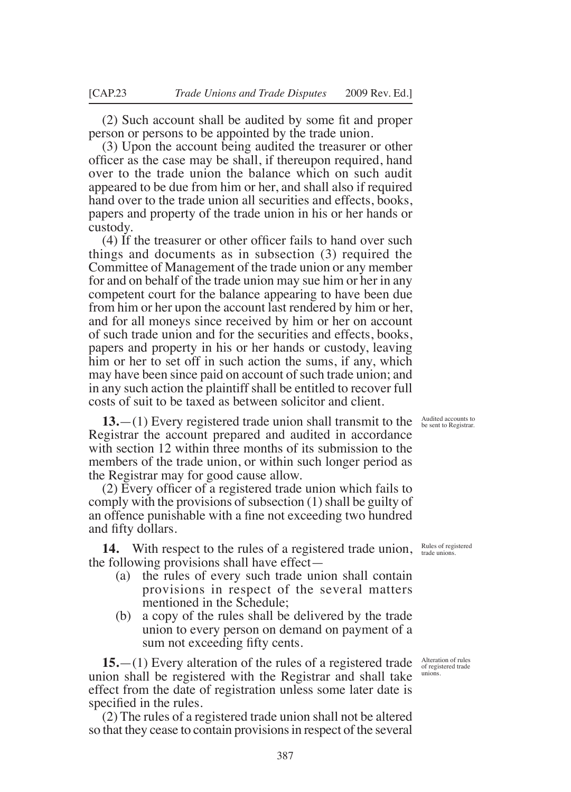(2) Such account shall be audited by some it and proper person or persons to be appointed by the trade union.

(3) Upon the account being audited the treasurer or other oficer as the case may be shall, if thereupon required, hand over to the trade union the balance which on such audit appeared to be due from him or her, and shall also if required hand over to the trade union all securities and effects, books, papers and property of the trade union in his or her hands or custody.

(4) If the treasurer or other oficer fails to hand over such things and documents as in subsection (3) required the Committee of Management of the trade union or any member for and on behalf of the trade union may sue him or her in any competent court for the balance appearing to have been due from him or her upon the account last rendered by him or her, and for all moneys since received by him or her on account of such trade union and for the securities and effects, books, papers and property in his or her hands or custody, leaving him or her to set off in such action the sums, if any, which may have been since paid on account of such trade union; and in any such action the plaintiff shall be entitled to recover full costs of suit to be taxed as between solicitor and client.

**13.**—(1) Every registered trade union shall transmit to the Registrar the account prepared and audited in accordance with section 12 within three months of its submission to the members of the trade union, or within such longer period as the Registrar may for good cause allow.

(2) Every oficer of a registered trade union which fails to comply with the provisions of subsection (1) shall be guilty of an offence punishable with a fine not exceeding two hundred and fifty dollars.

14. With respect to the rules of a registered trade union, Rules of registered the following provisions shall have effect—

- (a) the rules of every such trade union shall contain provisions in respect of the several matters mentioned in the Schedule;
- (b) a copy of the rules shall be delivered by the trade union to every person on demand on payment of a sum not exceeding fifty cents.

**15.**—(1) Every alteration of the rules of a registered trade union shall be registered with the Registrar and shall take effect from the date of registration unless some later date is specified in the rules.

(2) The rules of a registered trade union shall not be altered so that they cease to contain provisions in respect of the several

Audited accounts to be sent to Registrar.

Alteration of rules of registered trade unions.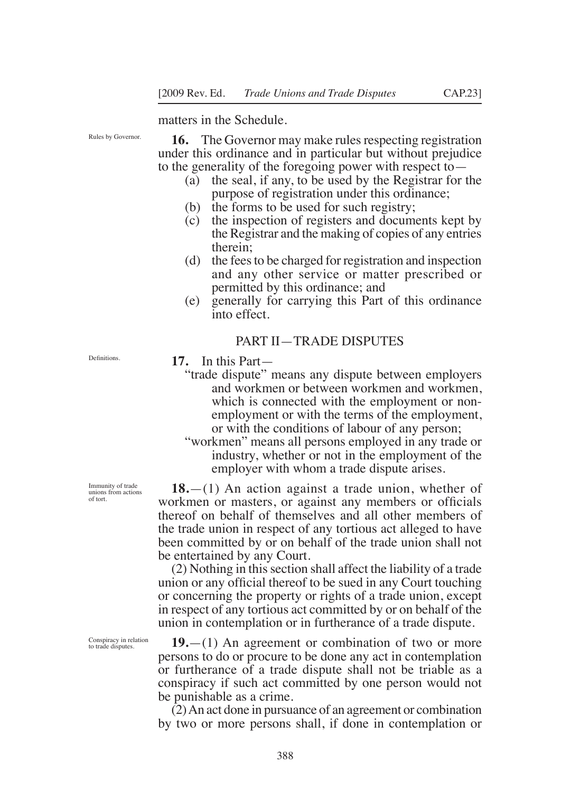matters in the Schedule.

Rules by Governor.

**16.** The Governor may make rules respecting registration under this ordinance and in particular but without prejudice to the generality of the foregoing power with respect to—

- (a) the seal, if any, to be used by the Registrar for the purpose of registration under this ordinance;
- (b) the forms to be used for such registry;
- (c) the inspection of registers and documents kept by the Registrar and the making of copies of any entries therein;
- (d) the fees to be charged for registration and inspection and any other service or matter prescribed or permitted by this ordinance; and
- (e) generally for carrying this Part of this ordinance into effect.

#### PART II—TRADE DISPUTES

**17.** In this Part—

- "trade dispute" means any dispute between employers and workmen or between workmen and workmen, which is connected with the employment or nonemployment or with the terms of the employment, or with the conditions of labour of any person;
- "workmen" means all persons employed in any trade or industry, whether or not in the employment of the employer with whom a trade dispute arises.

**18.**—(1) An action against a trade union, whether of workmen or masters, or against any members or oficials thereof on behalf of themselves and all other members of the trade union in respect of any tortious act alleged to have been committed by or on behalf of the trade union shall not be entertained by any Court.

(2) Nothing in this section shall affect the liability of a trade union or any oficial thereof to be sued in any Court touching or concerning the property or rights of a trade union, except in respect of any tortious act committed by or on behalf of the union in contemplation or in furtherance of a trade dispute.

**19.**—(1) An agreement or combination of two or more persons to do or procure to be done any act in contemplation or furtherance of a trade dispute shall not be triable as a conspiracy if such act committed by one person would not be punishable as a crime.

(2) An act done in pursuance of an agreement or combination by two or more persons shall, if done in contemplation or

Immunity of trade unions from actions

of tort.

Definitions.

Conspiracy in relation to trade disputes.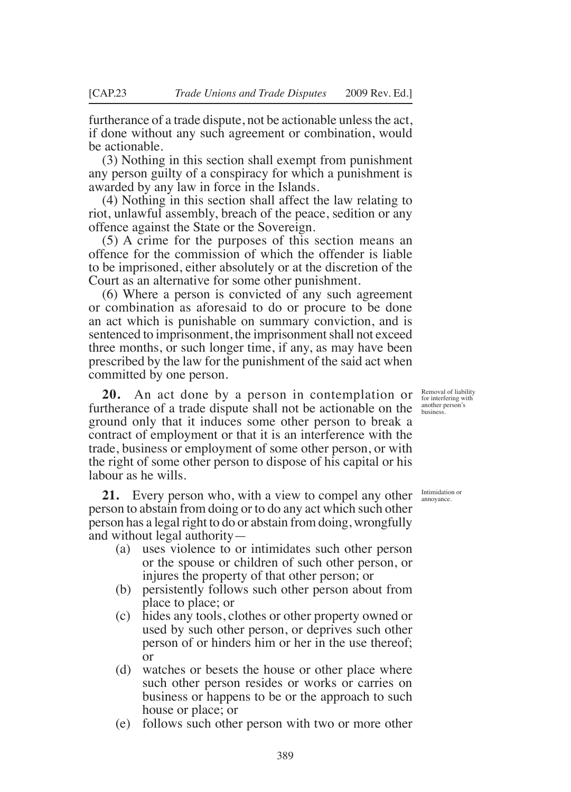furtherance of a trade dispute, not be actionable unless the act, if done without any such agreement or combination, would be actionable.

(3) Nothing in this section shall exempt from punishment any person guilty of a conspiracy for which a punishment is awarded by any law in force in the Islands.

(4) Nothing in this section shall affect the law relating to riot, unlawful assembly, breach of the peace, sedition or any offence against the State or the Sovereign.

(5) A crime for the purposes of this section means an offence for the commission of which the offender is liable to be imprisoned, either absolutely or at the discretion of the Court as an alternative for some other punishment.

(6) Where a person is convicted of any such agreement or combination as aforesaid to do or procure to be done an act which is punishable on summary conviction, and is sentenced to imprisonment, the imprisonment shall not exceed three months, or such longer time, if any, as may have been prescribed by the law for the punishment of the said act when committed by one person.

**20.** An act done by a person in contemplation or furtherance of a trade dispute shall not be actionable on the ground only that it induces some other person to break a contract of employment or that it is an interference with the trade, business or employment of some other person, or with the right of some other person to dispose of his capital or his labour as he wills.

**21.** Every person who, with a view to compel any other person to abstain from doing or to do any act which such other person has a legal right to do or abstain from doing, wrongfully and without legal authority—

- (a) uses violence to or intimidates such other person or the spouse or children of such other person, or injures the property of that other person; or
- (b) persistently follows such other person about from place to place; or
- (c) hides any tools, clothes or other property owned or used by such other person, or deprives such other person of or hinders him or her in the use thereof; or
- (d) watches or besets the house or other place where such other person resides or works or carries on business or happens to be or the approach to such house or place; or
- (e) follows such other person with two or more other

Removal of liability for interfering with another person's business.

Intimidation or annoyance.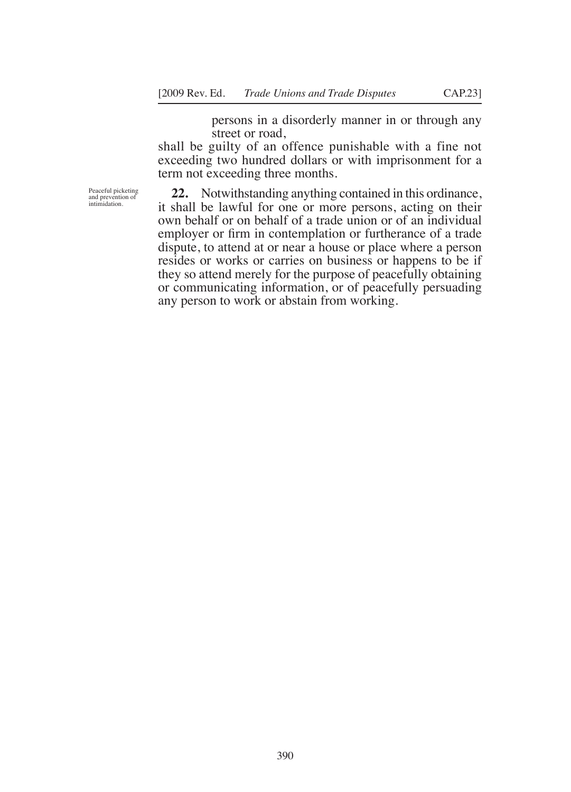persons in a disorderly manner in or through any street or road,

shall be guilty of an offence punishable with a fine not exceeding two hundred dollars or with imprisonment for a term not exceeding three months.

Peaceful picketing and prevention of intimidation.

**22.** Notwithstanding anything contained in this ordinance, it shall be lawful for one or more persons, acting on their own behalf or on behalf of a trade union or of an individual employer or firm in contemplation or furtherance of a trade dispute, to attend at or near a house or place where a person resides or works or carries on business or happens to be if they so attend merely for the purpose of peacefully obtaining or communicating information, or of peacefully persuading any person to work or abstain from working.